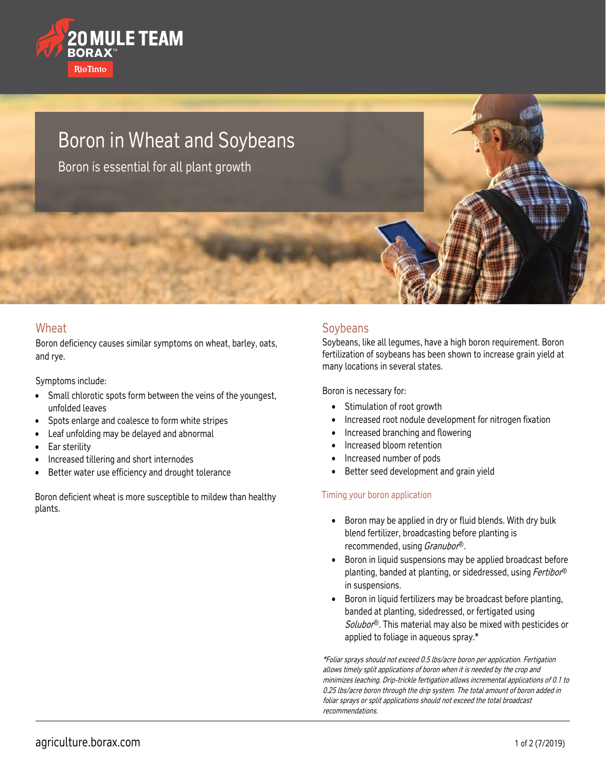

# Boron in Wheat and Soybeans

Boron is essential for all plant growth

#### **Wheat**

Boron deficiency causes similar symptoms on wheat, barley, oats, and rye.

Symptoms include:

- Small chlorotic spots form between the veins of the youngest, unfolded leaves
- Spots enlarge and coalesce to form white stripes
- Leaf unfolding may be delayed and abnormal
- Ear sterility
- Increased tillering and short internodes
- Better water use efficiency and drought tolerance

Boron deficient wheat is more susceptible to mildew than healthy plants.

#### **Soybeans**

Soybeans, like all legumes, have a high boron requirement. Boron fertilization of soybeans has been shown to increase grain yield at many locations in several states.

Boron is necessary for:

- Stimulation of root growth
- Increased root nodule development for nitrogen fixation
- Increased branching and flowering
- Increased bloom retention
- Increased number of pods
- Better seed development and grain yield

#### Timing your boron application

- Boron may be applied in dry or fluid blends. With dry bulk blend fertilizer, broadcasting before planting is recommended, using Granubor®.
- Boron in liquid suspensions may be applied broadcast before planting, banded at planting, or sidedressed, using Fertibor® in suspensions.
- Boron in liquid fertilizers may be broadcast before planting, banded at planting, sidedressed, or fertigated using Solubor<sup>®</sup>. This material may also be mixed with pesticides or applied to foliage in aqueous spray.\*

\*Foliar sprays should not exceed 0.5 lbs/acre boron per application. Fertigation allows timely split applications of boron when it is needed by the crop and minimizes leaching. Drip-trickle fertigation allows incremental applications of 0.1 to 0.25 lbs/acre boron through the drip system. The total amount of boron added in foliar sprays or split applications should not exceed the total broadcast recommendations.